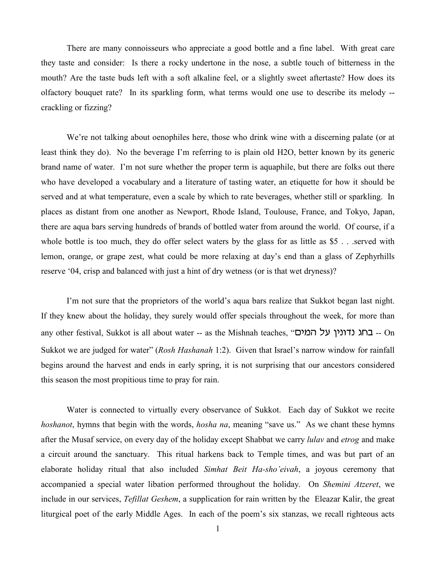There are many connoisseurs who appreciate a good bottle and a fine label. With great care they taste and consider: Is there a rocky undertone in the nose, a subtle touch of bitterness in the mouth? Are the taste buds left with a soft alkaline feel, or a slightly sweet aftertaste? How does its olfactory bouquet rate? In its sparkling form, what terms would one use to describe its melody - crackling or fizzing?

We're not talking about oenophiles here, those who drink wine with a discerning palate (or at least think they do). No the beverage I'm referring to is plain old H2O, better known by its generic brand name of water. I'm not sure whether the proper term is aquaphile, but there are folks out there who have developed a vocabulary and a literature of tasting water, an etiquette for how it should be served and at what temperature, even a scale by which to rate beverages, whether still or sparkling. In places as distant from one another as Newport, Rhode Island, Toulouse, France, and Tokyo, Japan, there are aqua bars serving hundreds of brands of bottled water from around the world. Of course, if a whole bottle is too much, they do offer select waters by the glass for as little as \$5 . . .served with lemon, orange, or grape zest, what could be more relaxing at day's end than a glass of Zephyrhills reserve '04, crisp and balanced with just a hint of dry wetness (or is that wet dryness)?

I'm not sure that the proprietors of the world's aqua bars realize that Sukkot began last night. If they knew about the holiday, they surely would offer specials throughout the week, for more than any other festival, Sukkot is all about water -- as the Mishnah teaches, "בחג נדונין על המים -- On Sukkot we are judged for water" (*Rosh Hashanah* 1:2). Given that Israel's narrow window for rainfall begins around the harvest and ends in early spring, it is not surprising that our ancestors considered this season the most propitious time to pray for rain.

Water is connected to virtually every observance of Sukkot. Each day of Sukkot we recite *hoshanot*, hymns that begin with the words, *hosha na*, meaning "save us." As we chant these hymns after the Musaf service, on every day of the holiday except Shabbat we carry *lulav* and *etrog* and make a circuit around the sanctuary. This ritual harkens back to Temple times, and was but part of an elaborate holiday ritual that also included *Simhat Beit Ha-sho'eivah*, a joyous ceremony that accompanied a special water libation performed throughout the holiday. On *Shemini Atzeret*, we include in our services, *Tefillat Geshem*, a supplication for rain written by the Eleazar Kalir, the great liturgical poet of the early Middle Ages. In each of the poem's six stanzas, we recall righteous acts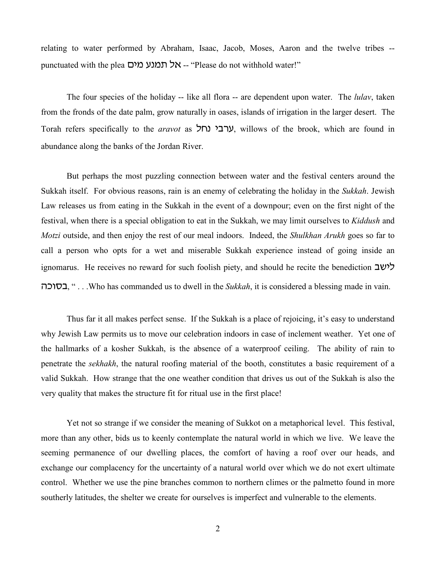relating to water performed by Abraham, Isaac, Jacob, Moses, Aaron and the twelve tribes - punctuated with the plea -- אל תמנע מים -- "Please do not withhold water!"

The four species of the holiday -- like all flora -- are dependent upon water. The *lulav*, taken from the fronds of the date palm, grow naturally in oases, islands of irrigation in the larger desert. The Torah refers specifically to the *aravot* as ערבי נחל, willows of the brook, which are found in abundance along the banks of the Jordan River.

But perhaps the most puzzling connection between water and the festival centers around the Sukkah itself. For obvious reasons, rain is an enemy of celebrating the holiday in the *Sukkah*. Jewish Law releases us from eating in the Sukkah in the event of a downpour; even on the first night of the festival, when there is a special obligation to eat in the Sukkah, we may limit ourselves to *Kiddush* and *Motzi* outside, and then enjoy the rest of our meal indoors. Indeed, the *Shulkhan Arukh* goes so far to call a person who opts for a wet and miserable Sukkah experience instead of going inside an ignomarus. He receives no reward for such foolish piety, and should he recite the benediction  $\exists w$ vfuxc, " . . .Who has commanded us to dwell in the *Sukkah*, it is considered a blessing made in vain.

Thus far it all makes perfect sense. If the Sukkah is a place of rejoicing, it's easy to understand why Jewish Law permits us to move our celebration indoors in case of inclement weather. Yet one of the hallmarks of a kosher Sukkah, is the absence of a waterproof ceiling. The ability of rain to penetrate the *sekhakh*, the natural roofing material of the booth, constitutes a basic requirement of a valid Sukkah. How strange that the one weather condition that drives us out of the Sukkah is also the very quality that makes the structure fit for ritual use in the first place!

Yet not so strange if we consider the meaning of Sukkot on a metaphorical level. This festival, more than any other, bids us to keenly contemplate the natural world in which we live. We leave the seeming permanence of our dwelling places, the comfort of having a roof over our heads, and exchange our complacency for the uncertainty of a natural world over which we do not exert ultimate control. Whether we use the pine branches common to northern climes or the palmetto found in more southerly latitudes, the shelter we create for ourselves is imperfect and vulnerable to the elements.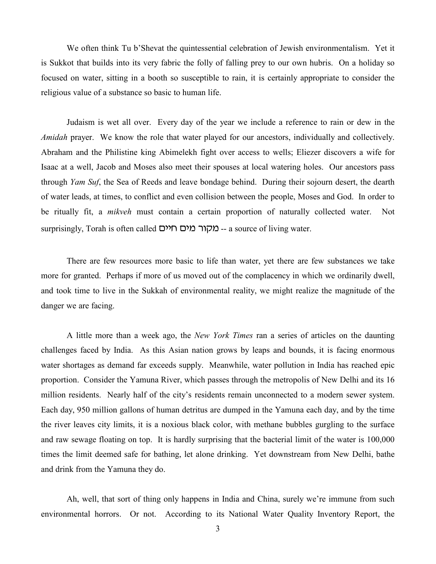We often think Tu b'Shevat the quintessential celebration of Jewish environmentalism. Yet it is Sukkot that builds into its very fabric the folly of falling prey to our own hubris. On a holiday so focused on water, sitting in a booth so susceptible to rain, it is certainly appropriate to consider the religious value of a substance so basic to human life.

Judaism is wet all over. Every day of the year we include a reference to rain or dew in the *Amidah* prayer. We know the role that water played for our ancestors, individually and collectively. Abraham and the Philistine king Abimelekh fight over access to wells; Eliezer discovers a wife for Isaac at a well, Jacob and Moses also meet their spouses at local watering holes. Our ancestors pass through *Yam Suf*, the Sea of Reeds and leave bondage behind. During their sojourn desert, the dearth of water leads, at times, to conflict and even collision between the people, Moses and God. In order to be ritually fit, a *mikveh* must contain a certain proportion of naturally collected water. Not surprisingly, Torah is often called ויים חיים -- a source of living water.

There are few resources more basic to life than water, yet there are few substances we take more for granted. Perhaps if more of us moved out of the complacency in which we ordinarily dwell, and took time to live in the Sukkah of environmental reality, we might realize the magnitude of the danger we are facing.

A little more than a week ago, the *New York Times* ran a series of articles on the daunting challenges faced by India. As this Asian nation grows by leaps and bounds, it is facing enormous water shortages as demand far exceeds supply. Meanwhile, water pollution in India has reached epic proportion. Consider the Yamuna River, which passes through the metropolis of New Delhi and its 16 million residents. Nearly half of the city's residents remain unconnected to a modern sewer system. Each day, 950 million gallons of human detritus are dumped in the Yamuna each day, and by the time the river leaves city limits, it is a noxious black color, with methane bubbles gurgling to the surface and raw sewage floating on top. It is hardly surprising that the bacterial limit of the water is 100,000 times the limit deemed safe for bathing, let alone drinking. Yet downstream from New Delhi, bathe and drink from the Yamuna they do.

Ah, well, that sort of thing only happens in India and China, surely we're immune from such environmental horrors. Or not. According to its National Water Quality Inventory Report, the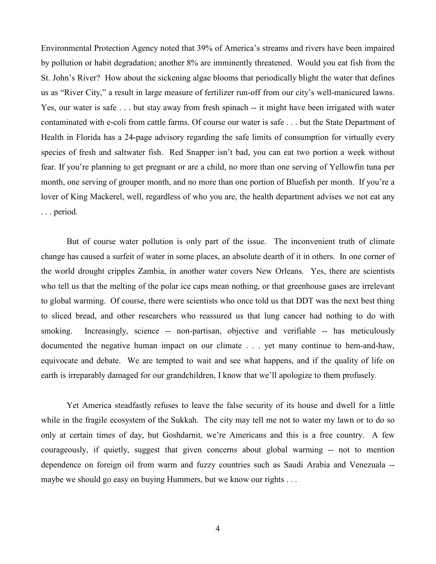Environmental Protection Agency noted that 39% of America's streams and rivers have been impaired by pollution or habit degradation; another 8% are imminently threatened. Would you eat fish from the St. John's River? How about the sickening algae blooms that periodically blight the water that defines us as "River City," a result in large measure of fertilizer run-off from our city's well-manicured lawns. Yes, our water is safe . . . but stay away from fresh spinach -- it might have been irrigated with water contaminated with e-coli from cattle farms. Of course our water is safe . . . but the State Department of Health in Florida has a 24-page advisory regarding the safe limits of consumption for virtually every species of fresh and saltwater fish. Red Snapper isn't bad, you can eat two portion a week without fear. If you're planning to get pregnant or are a child, no more than one serving of Yellowfin tuna per month, one serving of grouper month, and no more than one portion of Bluefish per month. If you're a lover of King Mackerel, well, regardless of who you are, the health department advises we not eat any . . . period.

But of course water pollution is only part of the issue. The inconvenient truth of climate change has caused a surfeit of water in some places, an absolute dearth of it in others. In one corner of the world drought cripples Zambia, in another water covers New Orleans. Yes, there are scientists who tell us that the melting of the polar ice caps mean nothing, or that greenhouse gases are irrelevant to global warming. Of course, there were scientists who once told us that DDT was the next best thing to sliced bread, and other researchers who reassured us that lung cancer had nothing to do with smoking. Increasingly, science -- non-partisan, objective and verifiable -- has meticulously documented the negative human impact on our climate . . . yet many continue to hem-and-haw, equivocate and debate. We are tempted to wait and see what happens, and if the quality of life on earth is irreparably damaged for our grandchildren, I know that we'll apologize to them profusely.

Yet America steadfastly refuses to leave the false security of its house and dwell for a little while in the fragile ecosystem of the Sukkah. The city may tell me not to water my lawn or to do so only at certain times of day, but Goshdarnit, we're Americans and this is a free country. A few courageously, if quietly, suggest that given concerns about global warming -- not to mention dependence on foreign oil from warm and fuzzy countries such as Saudi Arabia and Venezuala - maybe we should go easy on buying Hummers, but we know our rights . . .